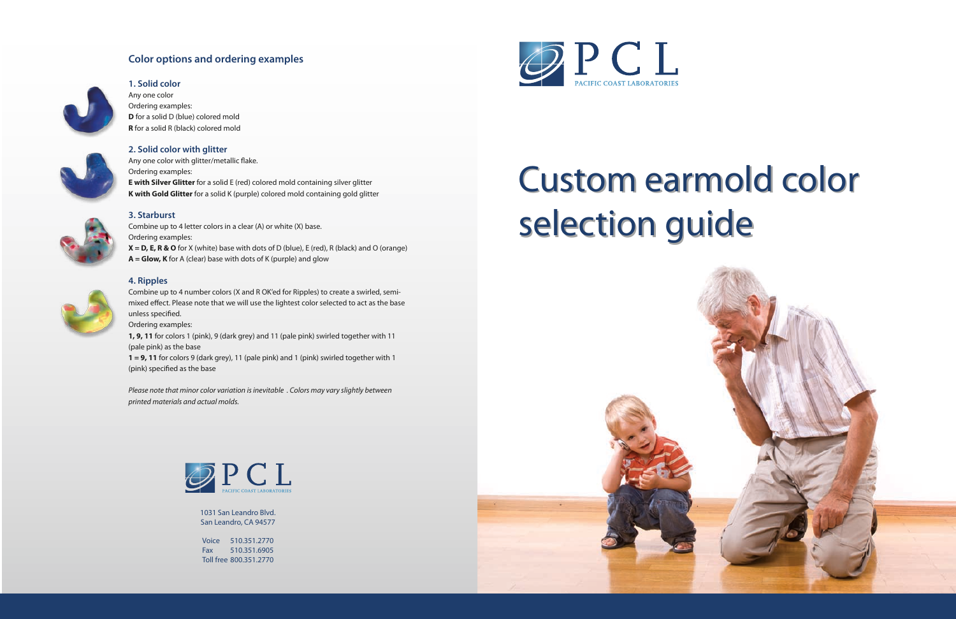1031 San Leandro Blvd. San Leandro, CA 94577

Voice 510.351.2770 Fax 510.351.6905 Toll free 800.351.2770



## **Color options and ordering examples**



# **1. Solid color**

Any one color Ordering examples: **D** for a solid D (blue) colored mold **R** for a solid R (black) colored mold

Any one color with glitter/metallic flake. Ordering examples: **E with Silver Glitter** for a solid E (red) colored mold containing silver glitter **K with Gold Glitter** for a solid K (purple) colored mold containing gold glitter



### **2. Solid color with glitter**

Combine up to 4 number colors (X and R OK'ed for Ripples) to create a swirled, semimixed effect. Please note that we will use the lightest color selected to act as the base unless specified.

#### **3. Starburst**

**1 = 9, 11** for colors 9 (dark grey), 11 (pale pink) and 1 (pink) swirled together with 1 (pink) specified as the base

Combine up to 4 letter colors in a clear (A) or white (X) base. Ordering examples: **X = D, E, R & O** for X (white) base with dots of D (blue), E (red), R (black) and O (orange) **A = Glow, K** for A (clear) base with dots of K (purple) and glow



#### **4. Ripples**

Ordering examples:

**1, 9, 11** for colors 1 (pink), 9 (dark grey) and 11 (pale pink) swirled together with 11 (pale pink) as the base

*Please note that minor color variation is inevitable . Colors may vary slightly between printed materials and actual molds.*



# Custom earmold color Custom earmold color selection guide selection guide